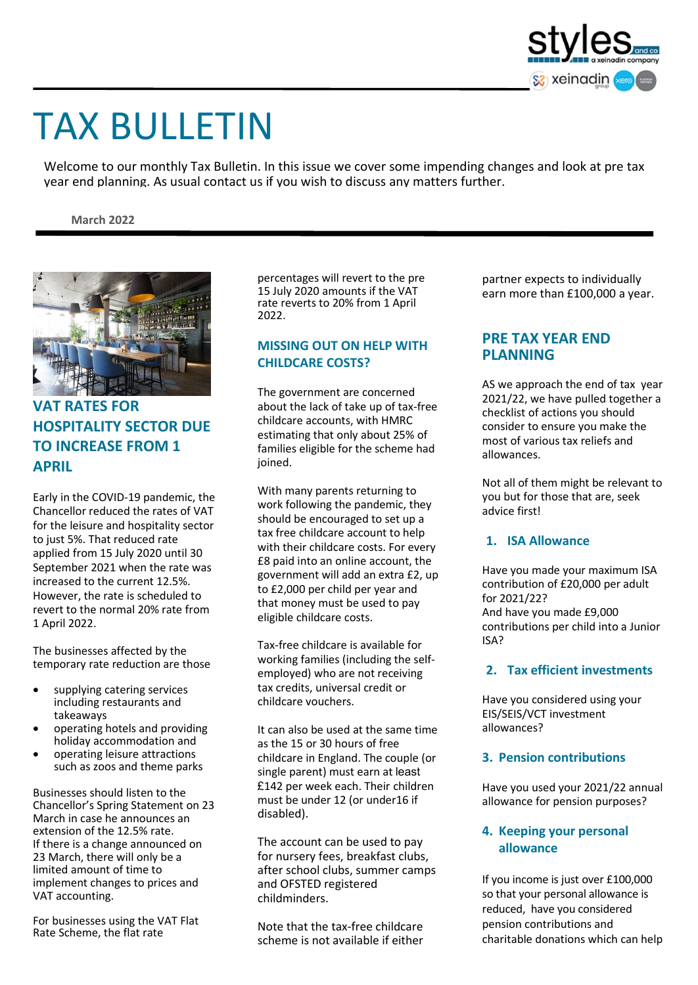

# TAX BULLETIN

Welcome to our monthly Tax Bulletin. In this issue we cover some impending changes and look at pre tax year end planning. As usual contact us if you wish to discuss any matters further.

#### **March 2022**



# **VAT RATES FOR HOSPITALITY SECTOR DUE TO INCREASE FROM 1 APRIL**

Early in the COVID-19 pandemic, the Chancellor reduced the rates of VAT for the leisure and hospitality sector to just 5%. That reduced rate applied from 15 July 2020 until 30 September 2021 when the rate was increased to the current 12.5%. However, the rate is scheduled to revert to the normal 20% rate from 1 April 2022.

The businesses affected by the temporary rate reduction are those

- supplying catering services including restaurants and takeaways
- operating hotels and providing holiday accommodation and
- operating leisure attractions such as zoos and theme parks

Businesses should listen to the Chancellor's Spring Statement on 23 March in case he announces an extension of the 12.5% rate. If there is a change announced on 23 March, there will only be a limited amount of time to implement changes to prices and VAT accounting.

For businesses using the VAT Flat Rate Scheme, the flat rate

percentages will revert to the pre 15 July 2020 amounts if the VAT rate reverts to 20% from 1 April 2022.

# **MISSING OUT ON HELP WITH CHILDCARE COSTS?**

The government are concerned about the lack of take up of tax-free childcare accounts, with HMRC estimating that only about 25% of families eligible for the scheme had ioined.

With many parents returning to work following the pandemic, they should be encouraged to set up a tax free childcare account to help with their childcare costs. For every £8 paid into an online account, the government will add an extra £2, up to £2,000 per child per year and that money must be used to pay eligible childcare costs.

Tax-free childcare is available for working families (including the selfemployed) who are not receiving tax credits, universal credit or childcare vouchers.

It can also be used at the same time as the 15 or 30 hours of free childcare in England. The couple (or single parent) must earn at least £142 per week each. Their children must be under 12 (or under16 if disabled).

The account can be used to pay for nursery fees, breakfast clubs, after school clubs, summer camps and OFSTED registered childminders.

Note that the tax-free childcare scheme is not available if either partner expects to individually earn more than £100,000 a year.

# **PRE TAX YEAR END PLANNING**

AS we approach the end of tax year 2021/22, we have pulled together a checklist of actions you should consider to ensure you make the most of various tax reliefs and allowances.

Not all of them might be relevant to you but for those that are, seek advice first!

# **1. ISA Allowance**

Have you made your maximum ISA contribution of £20,000 per adult for 2021/22? And have you made £9,000 contributions per child into a Junior ISA?

# **2. Tax efficient investments**

Have you considered using your EIS/SEIS/VCT investment allowances?

# **3. Pension contributions**

Have you used your 2021/22 annual allowance for pension purposes?

# **4. Keeping your personal allowance**

If you income is just over £100,000 so that your personal allowance is reduced, have you considered pension contributions and charitable donations which can help